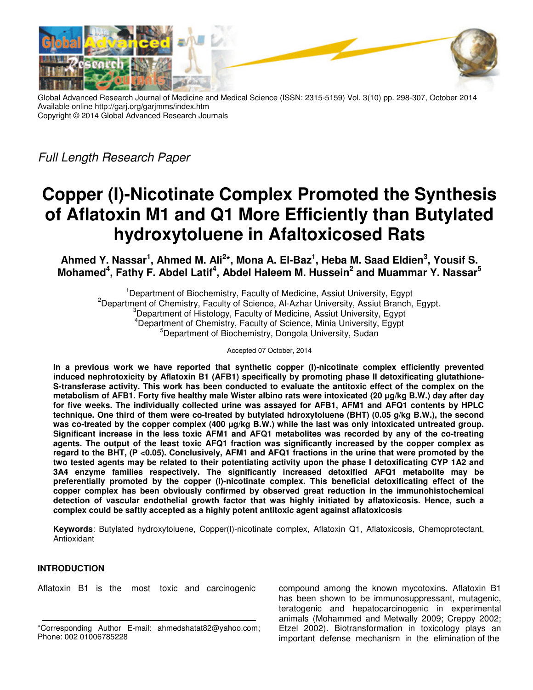

Global Advanced Research Journal of Medicine and Medical Science (ISSN: 2315-5159) Vol. 3(10) pp. 298-307, October 2014 Available online http://garj.org/garjmms/index.htm Copyright © 2014 Global Advanced Research Journals

Full Length Research Paper

# **Copper (I)-Nicotinate Complex Promoted the Synthesis of Aflatoxin M1 and Q1 More Efficiently than Butylated hydroxytoluene in Afaltoxicosed Rats**

**Ahmed Y. Nassar<sup>1</sup> , Ahmed M. Ali<sup>2</sup> \*, Mona A. El-Baz<sup>1</sup> , Heba M. Saad Eldien<sup>3</sup> , Yousif S. Mohamed<sup>4</sup> , Fathy F. Abdel Latif<sup>4</sup> , Abdel Haleem M. Hussein<sup>2</sup> and Muammar Y. Nassar<sup>5</sup>**

<sup>1</sup>Department of Biochemistry, Faculty of Medicine, Assiut University, Egypt <sup>2</sup>Department of Chemistry, Faculty of Science, Al-Azhar University, Assiut Branch, Egypt. <sup>3</sup>Department of Histology, Faculty of Medicine, Assiut University, Egypt <sup>4</sup>Department of Chemistry, Faculty of Science, Minia University, Egypt <sup>5</sup>Department of Biochemistry, Dongola University, Sudan

Accepted 07 October, 2014

**In a previous work we have reported that synthetic copper (I)-nicotinate complex efficiently prevented induced nephrotoxicity by Aflatoxin B1 (AFB1) specifically by promoting phase II detoxificating glutathione-S-transferase activity. This work has been conducted to evaluate the antitoxic effect of the complex on the metabolism of AFB1. Forty five healthy male Wister albino rats were intoxicated (20 µg/kg B.W.) day after day for five weeks. The individually collected urine was assayed for AFB1, AFM1 and AFQ1 contents by HPLC technique. One third of them were co-treated by butylated hdroxytoluene (BHT) (0.05 g/kg B.W.), the second**  was co-treated by the copper complex (400 µg/kg B.W.) while the last was only intoxicated untreated group. **Significant increase in the less toxic AFM1 and AFQ1 metabolites was recorded by any of the co-treating agents. The output of the least toxic AFQ1 fraction was significantly increased by the copper complex as regard to the BHT, (P <0.05). Conclusively, AFM1 and AFQ1 fractions in the urine that were promoted by the two tested agents may be related to their potentiating activity upon the phase I detoxificating CYP 1A2 and 3A4 enzyme families respectively. The significantly increased detoxified AFQ1 metabolite may be preferentially promoted by the copper (I)-nicotinate complex. This beneficial detoxificating effect of the copper complex has been obviously confirmed by observed great reduction in the immunohistochemical detection of vascular endothelial growth factor that was highly initiated by aflatoxicosis. Hence, such a complex could be saftly accepted as a highly potent antitoxic agent against aflatoxicosis** 

**Keywords**: Butylated hydroxytoluene, Copper(I)-nicotinate complex, Aflatoxin Q1, Aflatoxicosis, Chemoprotectant, Antioxidant

# **INTRODUCTION**

Aflatoxin B1 is the most toxic and carcinogenic

compound among the known mycotoxins. Aflatoxin B1 has been shown to be immunosuppressant, mutagenic, teratogenic and hepatocarcinogenic in experimental animals (Mohammed and Metwally 2009; Creppy 2002; Etzel 2002). Biotransformation in toxicology plays an important defense mechanism in the elimination of the

<sup>\*</sup>Corresponding Author E-mail: ahmedshatat82@yahoo.com; Phone: 002 01006785228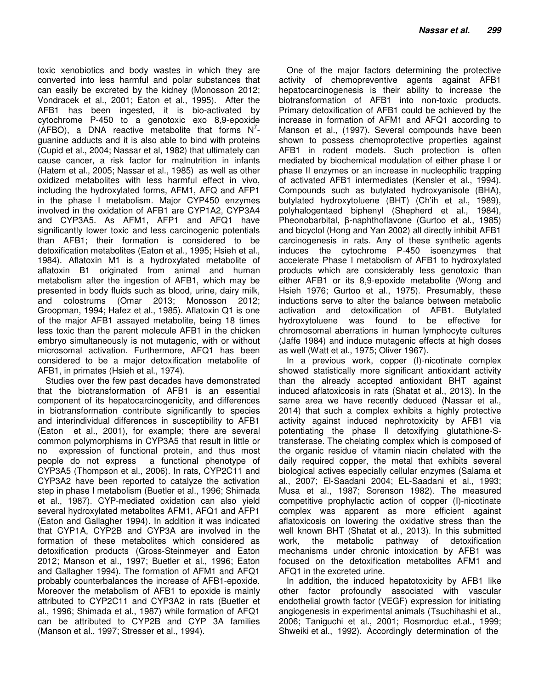toxic xenobiotics and body wastes in which they are converted into less harmful and polar substances that can easily be excreted by the kidney (Monosson 2012; Vondracek et al., 2001; Eaton et al., 1995). After the AFB1 has been ingested, it is bio-activated by cytochrome P-450 to a genotoxic exo 8,9-epoxide  $(AFBO)$ , a DNA reactive metabolite that forms  $N^7$ guanine adducts and it is also able to bind with proteins (Cupid et al., 2004; Nassar et al, 1982) that ultimately can cause cancer, a risk factor for malnutrition in infants (Hatem et al., 2005; Nassar et al., 1985) as well as other oxidized metabolites with less harmful effect in vivo, including the hydroxylated forms, AFM1, AFQ and AFP1 in the phase I metabolism. Major CYP450 enzymes involved in the oxidation of AFB1 are CYP1A2, CYP3A4 and CYP3A5. As AFM1, AFP1 and AFQ1 have significantly lower toxic and less carcinogenic potentials than AFB1; their formation is considered to be detoxification metabolites (Eaton et al., 1995; Hsieh et al., 1984). Aflatoxin M1 is a hydroxylated metabolite of aflatoxin B1 originated from animal and human metabolism after the ingestion of AFB1, which may be presented in body fluids such as blood, urine, dairy milk, and colostrums (Omar 2013; Monosson 2012; Groopman, 1994; Hafez et al., 1985). Aflatoxin Q1 is one of the major AFB1 assayed metabolite, being 18 times less toxic than the parent molecule AFB1 in the chicken embryo simultaneously is not mutagenic, with or without microsomal activation. Furthermore, AFQ1 has been considered to be a major detoxification metabolite of AFB1, in primates (Hsieh et al., 1974).

Studies over the few past decades have demonstrated that the biotransformation of AFB1 is an essential component of its hepatocarcinogenicity, and differences in biotransformation contribute significantly to species and interindividual differences in susceptibility to AFB1 (Eaton et al., 2001), for example; there are several common polymorphisms in CYP3A5 that result in little or no expression of functional protein, and thus most people do not express a functional phenotype of CYP3A5 (Thompson et al., 2006). In rats, CYP2C11 and CYP3A2 have been reported to catalyze the activation step in phase I metabolism (Buetler et al., 1996; Shimada et al., 1987). CYP-mediated oxidation can also yield several hydroxylated metabolites AFM1, AFQ1 and AFP1 (Eaton and Gallagher 1994). In addition it was indicated that CYP1A, CYP2B and CYP3A are involved in the formation of these metabolites which considered as detoxification products (Gross-Steinmeyer and Eaton 2012; Manson et al., 1997; Buetler et al., 1996; Eaton and Gallagher 1994). The formation of AFM1 and AFQ1 probably counterbalances the increase of AFB1-epoxide. Moreover the metabolism of AFB1 to epoxide is mainly attributed to CYP2C11 and CYP3A2 in rats (Buetler et al., 1996; Shimada et al., 1987) while formation of AFQ1 can be attributed to CYP2B and CYP 3A families (Manson et al., 1997; Stresser et al., 1994).

One of the major factors determining the protective activity of chemopreventive agents against AFB1 hepatocarcinogenesis is their ability to increase the biotransformation of AFB1 into non-toxic products. Primary detoxification of AFB1 could be achieved by the increase in formation of AFM1 and AFQ1 according to Manson et al., (1997). Several compounds have been shown to possess chemoprotective properties against AFB1 in rodent models. Such protection is often mediated by biochemical modulation of either phase I or phase II enzymes or an increase in nucleophilic trapping of activated AFB1 intermediates (Kensler et al., 1994). Compounds such as butylated hydroxyanisole (BHA), butylated hydroxytoluene (BHT) (Ch'ih et al., 1989), polyhalogentaed biphenyl (Shepherd et al., 1984), Pheonobarbital, β-naphthoflavone (Gurtoo et al., 1985) and bicyclol (Hong and Yan 2002) all directly inhibit AFB1 carcinogenesis in rats. Any of these synthetic agents induces the cytochrome P-450 isoenzymes that accelerate Phase I metabolism of AFB1 to hydroxylated products which are considerably less genotoxic than either AFB1 or its 8,9-epoxide metabolite (Wong and Hsieh 1976; Gurtoo et al., 1975). Presumably, these inductions serve to alter the balance between metabolic activation and detoxification of AFB1. Butylated hydroxytoluene was found to be effective for chromosomal aberrations in human lymphocyte cultures (Jaffe 1984) and induce mutagenic effects at high doses as well (Watt et al., 1975; Oliver 1967).

In a previous work, copper (I)-nicotinate complex showed statistically more significant antioxidant activity than the already accepted antioxidant BHT against induced aflatoxicosis in rats (Shatat et al., 2013). In the same area we have recently deduced (Nassar et al., 2014) that such a complex exhibits a highly protective activity against induced nephrotoxicity by AFB1 via potentiating the phase II detoxifying glutathione-Stransferase. The chelating complex which is composed of the organic residue of vitamin niacin chelated with the daily required copper, the metal that exhibits several biological actives especially cellular enzymes (Salama et al., 2007; El-Saadani 2004; EL-Saadani et al., 1993; Musa et al., 1987; Sorenson 1982). The measured competitive prophylactic action of copper (I)-nicotinate complex was apparent as more efficient against aflatoxicosis on lowering the oxidative stress than the well known BHT (Shatat et al., 2013). In this submitted work, the metabolic pathway of detoxification mechanisms under chronic intoxication by AFB1 was focused on the detoxification metabolites AFM1 and AFQ1 in the excreted urine.

In addition, the induced hepatotoxicity by AFB1 like other factor profoundly associated with vascular endothelial growth factor (VEGF) expression for initiating angiogenesis in experimental animals (Tsuchihashi et al., 2006; Taniguchi et al., 2001; Rosmorduc et.al., 1999; Shweiki et al., 1992). Accordingly determination of the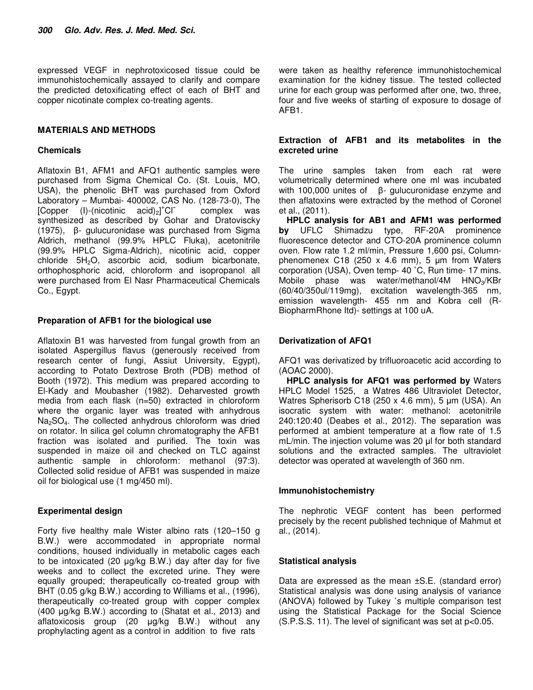expressed VEGF in nephrotoxicosed tissue could be immunohistochemically assayed to clarify and compare the predicted detoxificating effect of each of BHT and copper nicotinate complex co-treating agents.

# **MATERIALS AND METHODS**

## **Chemicals**

Aflatoxin B1, AFM1 and AFQ1 authentic samples were purchased from Sigma Chemical Co. (St. Louis, MO, USA), the phenolic BHT was purchased from Oxford Laboratory – Mumbai- 400002, CAS No. (128-73-0), The  $[Copper \t(l)-(nicotinic \taci)]^+Cl^$ complex was synthesized as described by Gohar and Dratoviscky (1975), β- gulucuronidase was purchased from Sigma Aldrich, methanol (99.9% HPLC Fluka), acetonitrile (99.9% HPLC Sigma-Aldrich), nicotinic acid, copper chloride 5H<sub>2</sub>O, ascorbic acid, sodium bicarbonate, orthophosphoric acid, chloroform and isopropanol all were purchased from El Nasr Pharmaceutical Chemicals Co., Egypt.

# **Preparation of AFB1 for the biological use**

Aflatoxin B1 was harvested from fungal growth from an isolated Aspergillus flavus (generously received from research center of fungi, Assiut University, Egypt), according to Potato Dextrose Broth (PDB) method of Booth (1972). This medium was prepared according to El-Kady and Moubasher (1982). Deharvested growth media from each flask (n=50) extracted in chloroform where the organic layer was treated with anhydrous Na<sub>2</sub>SO<sub>4</sub>. The collected anhydrous chloroform was dried on rotator. In silica gel column chromatography the AFB1 fraction was isolated and purified. The toxin was suspended in maize oil and checked on TLC against authentic sample in chloroform: methanol (97:3). Collected solid residue of AFB1 was suspended in maize oil for biological use (1 mg/450 ml).

## **Experimental design**

Forty five healthy male Wister albino rats (120–150 g B.W.) were accommodated in appropriate normal conditions, housed individually in metabolic cages each to be intoxicated (20 µg/kg B.W.) day after day for five weeks and to collect the excreted urine. They were equally grouped; therapeutically co-treated group with BHT (0.05 g/kg B.W.) according to Williams et al., (1996), therapeutically co-treated group with copper complex (400 µg/kg B.W.) according to (Shatat et al., 2013) and aflatoxicosis group (20 µg/kg B.W.) without any prophylacting agent as a control in addition to five rats

were taken as healthy reference immunohistochemical examination for the kidney tissue. The tested collected urine for each group was performed after one, two, three, four and five weeks of starting of exposure to dosage of AFB1.

## **Extraction of AFB1 and its metabolites in the excreted urine**

The urine samples taken from each rat were volumetrically determined where one ml was incubated with 100,000 unites of β- gulucuronidase enzyme and then aflatoxins were extracted by the method of Coronel et al., (2011).

**HPLC analysis for AB1 and AFM1 was performed by** UFLC Shimadzu type, RF-20A prominence fluorescence detector and CTO-20A prominence column oven. Flow rate 1.2 ml/min, Pressure 1,600 psi, Columnphenomenex C18 (250  $\times$  4.6 mm), 5  $\mu$ m from Waters corporation (USA), Oven temp- 40 ˚C, Run time- 17 mins. Mobile phase was water/methanol/4M HNO<sub>3</sub>/KBr (60/40/350ul/119mg), excitation wavelength-365 nm, emission wavelength- 455 nm and Kobra cell (R-BiopharmRhone Itd)- settings at 100 uA.

# **Derivatization of AFQ1**

AFQ1 was derivatized by trifluoroacetic acid according to (AOAC 2000).

**HPLC analysis for AFQ1 was performed by** Waters HPLC Model 1525, a Watres 486 Ultraviolet Detector, Watres Spherisorb C18 (250 x 4.6 mm), 5 µm (USA). An isocratic system with water: methanol: acetonitrile 240:120:40 (Deabes et al., 2012). The separation was performed at ambient temperature at a flow rate of 1.5 mL/min. The injection volume was 20 µl for both standard solutions and the extracted samples. The ultraviolet detector was operated at wavelength of 360 nm.

## **Immunohistochemistry**

The nephrotic VEGF content has been performed precisely by the recent published technique of Mahmut et al., (2014).

## **Statistical analysis**

Data are expressed as the mean ±S.E. (standard error) Statistical analysis was done using analysis of variance (ANOVA) followed by Tukey ᾽s multiple comparison test using the Statistical Package for the Social Science  $(S.P.S.S. 11)$ . The level of significant was set at  $p<0.05$ .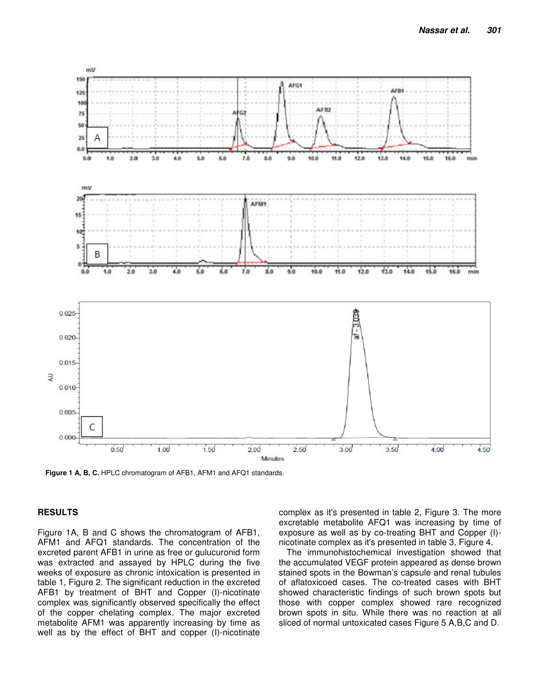

**Figure 1 A, B, C.** HPLC chromatogram of AFB1, AFM1 and AFQ1 standards.

## **RESULTS**

Figure 1A, B and C shows the chromatogram of AFB1, AFM1 and AFQ1 standards. The concentration of the excreted parent AFB1 in urine as free or gulucuronid form was extracted and assayed by HPLC during the five weeks of exposure as chronic intoxication is presented in table 1, Figure 2. The significant reduction in the excreted AFB1 by treatment of BHT and Copper (I)-nicotinate complex was significantly observed specifically the effect of the copper chelating complex. The major excreted metabolite AFM1 was apparently increasing by time as well as by the effect of BHT and copper (I)-nicotinate complex as it's presented in table 2, Figure 3. The more excretable metabolite AFQ1 was increasing by time of exposure as well as by co-treating BHT and Copper (I) nicotinate complex as it's presented in table 3, Figure 4.

The immunohistochemical investigation showed that the accumulated VEGF protein appeared as dense brown stained spots in the Bowman's capsule and renal tubules of aflatoxicoed cases. The co-treated cases with BHT showed characteristic findings of such brown spots but those with copper complex showed rare recognized brown spots in situ. While there was no reaction at all sliced of normal untoxicated cases Figure 5 A,B,C and D.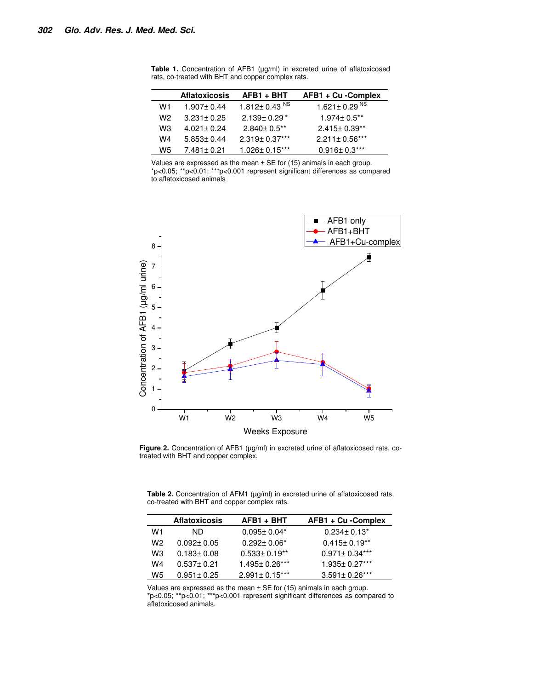|     | <b>Aflatoxicosis</b> | AFB1 + BHT                     | AFB1 + Cu - Complex  |
|-----|----------------------|--------------------------------|----------------------|
| W1  | $1.907 \pm 0.44$     | 1.812 $\pm$ 0.43 <sup>NS</sup> | 1.621 ± 0.29 $^{NS}$ |
| W2  | $3.231 \pm 0.25$     | $2.139 \pm 0.29$ *             | $1.974 \pm 0.5$ **   |
| WЗ  | $4.021 \pm 0.24$     | $2.840 \pm 0.5$ **             | $2.415 \pm 0.39**$   |
| W4  | $5.853 \pm 0.44$     | 2.319± 0.37***                 | $2.211 \pm 0.56***$  |
| W5. | $7.481 \pm 0.21$     | $1.026 \pm 0.15***$            | $0.916 \pm 0.3***$   |

Table 1. Concentration of AFB1 (µg/ml) in excreted urine of aflatoxicosed rats, co-treated with BHT and copper complex rats.

Values are expressed as the mean  $\pm$  SE for (15) animals in each group. \*p<0.05; \*\*p<0.01; \*\*\*p<0.001 represent significant differences as compared to aflatoxicosed animals



Figure 2. Concentration of AFB1 (µg/ml) in excreted urine of aflatoxicosed rats, cotreated with BHT and copper complex.

Table 2. Concentration of AFM1 (µg/ml) in excreted urine of aflatoxicosed rats, co-treated with BHT and copper complex rats.

|    | <b>Aflatoxicosis</b> | AFB1 + BHT          | AFB1 + Cu -Complex   |
|----|----------------------|---------------------|----------------------|
| W1 | ND.                  | $0.095 \pm 0.04*$   | $0.234 \pm 0.13^*$   |
| W2 | $0.092 \pm 0.05$     | $0.292 \pm 0.06^*$  | $0.415 \pm 0.19**$   |
| WЗ | $0.183 \pm 0.08$     | $0.533 \pm 0.19**$  | $0.971 \pm 0.34***$  |
| W4 | $0.537 \pm 0.21$     | 1.495± 0.26***      | $1.935 \pm 0.27***$  |
| W5 | $0.951 \pm 0.25$     | $2.991 \pm 0.15***$ | $3.591 \pm 0.26$ *** |

Values are expressed as the mean  $\pm$  SE for (15) animals in each group. \*p<0.05; \*\*p<0.01; \*\*\*p<0.001 represent significant differences as compared to aflatoxicosed animals.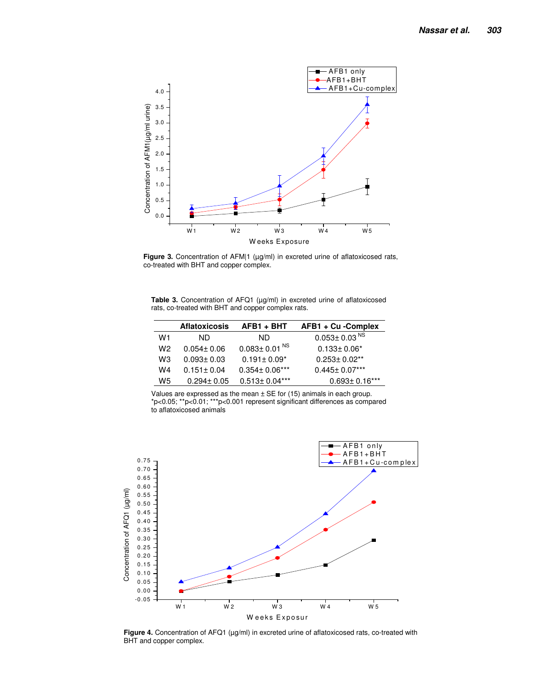

**Figure 3.** Concentration of AFM|1 (µg/ml) in excreted urine of aflatoxicosed rats, co-treated with BHT and copper complex.

**Table 3.** Concentration of AFQ1 (µg/ml) in excreted urine of aflatoxicosed rats, co-treated with BHT and copper complex rats.

|    | <b>Aflatoxicosis</b> | AFB1 + BHT                     | AFB1 + Cu - Complex            |
|----|----------------------|--------------------------------|--------------------------------|
| W1 | ND.                  | ND.                            | $0.053 \pm 0.03$ <sup>NS</sup> |
| W2 | $0.054 \pm 0.06$     | $0.083 \pm 0.01$ <sup>NS</sup> | $0.133 \pm 0.06^*$             |
| WЗ | $0.093 \pm 0.03$     | $0.191 \pm 0.09^*$             | $0.253 \pm 0.02$ **            |
| W4 | $0.151 \pm 0.04$     | $0.354 \pm 0.06***$            | $0.445 \pm 0.07***$            |
| W5 | $0.294 \pm 0.05$     | $0.513 \pm 0.04***$            | $0.693 \pm 0.16$ ***           |

Values are expressed as the mean  $\pm$  SE for (15) animals in each group. \*p<0.05; \*\*p<0.01; \*\*\*p<0.001 represent significant differences as compared to aflatoxicosed animals



Figure 4. Concentration of AFQ1 (µg/ml) in excreted urine of aflatoxicosed rats, co-treated with BHT and copper complex.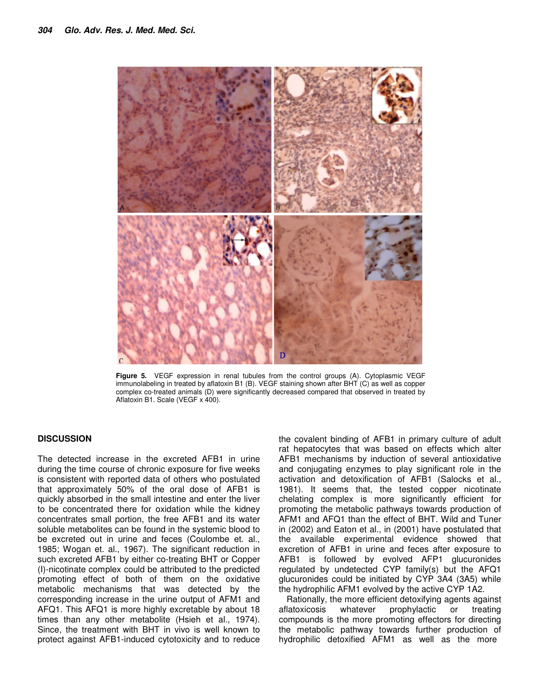

**Figure 5.** VEGF expression in renal tubules from the control groups (A). Cytoplasmic VEGF immunolabeling in treated by aflatoxin B1 (B). VEGF staining shown after BHT (C) as well as copper complex co-treated animals (D) were significantly decreased compared that observed in treated by Aflatoxin B1. Scale (VEGF x 400).

#### **DISCUSSION**

The detected increase in the excreted AFB1 in urine during the time course of chronic exposure for five weeks is consistent with reported data of others who postulated that approximately 50% of the oral dose of AFB1 is quickly absorbed in the small intestine and enter the liver to be concentrated there for oxidation while the kidney concentrates small portion, the free AFB1 and its water soluble metabolites can be found in the systemic blood to be excreted out in urine and feces (Coulombe et. al., 1985; Wogan et. al., 1967). The significant reduction in such excreted AFB1 by either co-treating BHT or Copper (I)-nicotinate complex could be attributed to the predicted promoting effect of both of them on the oxidative metabolic mechanisms that was detected by the corresponding increase in the urine output of AFM1 and AFQ1. This AFQ1 is more highly excretable by about 18 times than any other metabolite (Hsieh et al., 1974). Since, the treatment with BHT in vivo is well known to protect against AFB1-induced cytotoxicity and to reduce

the covalent binding of AFB1 in primary culture of adult rat hepatocytes that was based on effects which alter AFB1 mechanisms by induction of several antioxidative and conjugating enzymes to play significant role in the activation and detoxification of AFB1 (Salocks et al., 1981). It seems that, the tested copper nicotinate chelating complex is more significantly efficient for promoting the metabolic pathways towards production of AFM1 and AFQ1 than the effect of BHT. Wild and Tuner in (2002) and Eaton et al., in (2001) have postulated that the available experimental evidence showed that excretion of AFB1 in urine and feces after exposure to AFB1 is followed by evolved AFP1 glucuronides regulated by undetected CYP family(s) but the AFQ1 glucuronides could be initiated by CYP 3A4 (3A5) while the hydrophilic AFM1 evolved by the active CYP 1A2.

Rationally, the more efficient detoxifying agents against aflatoxicosis whatever prophylactic or treating compounds is the more promoting effectors for directing the metabolic pathway towards further production of hydrophilic detoxified AFM1 as well as the more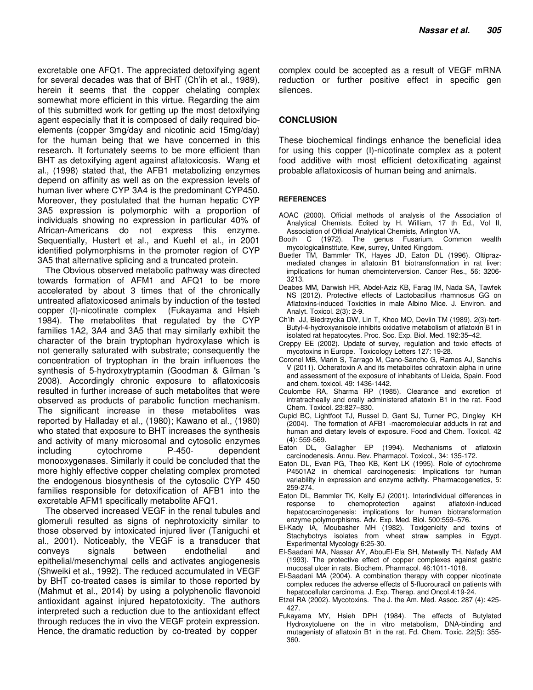excretable one AFQ1. The appreciated detoxifying agent for several decades was that of BHT (Ch'ih et al., 1989), herein it seems that the copper chelating complex somewhat more efficient in this virtue. Regarding the aim of this submitted work for getting up the most detoxifying agent especially that it is composed of daily required bioelements (copper 3mg/day and nicotinic acid 15mg/day) for the human being that we have concerned in this research. It fortunately seems to be more efficient than BHT as detoxifying agent against aflatoxicosis. Wang et al., (1998) stated that, the AFB1 metabolizing enzymes depend on affinity as well as on the expression levels of human liver where CYP 3A4 is the predominant CYP450. Moreover, they postulated that the human hepatic CYP 3A5 expression is polymorphic with a proportion of individuals showing no expression in particular 40% of African-Americans do not express this enzyme. Sequentially, Hustert et al., and Kuehl et al., in 2001 identified polymorphisms in the promoter region of CYP 3A5 that alternative splicing and a truncated protein.

The Obvious observed metabolic pathway was directed towards formation of AFM1 and AFQ1 to be more accelerated by about 3 times that of the chronically untreated aflatoxicosed animals by induction of the tested copper (I)-nicotinate complex (Fukayama and Hsieh 1984). The metabolites that regulated by the CYP families 1A2, 3A4 and 3A5 that may similarly exhibit the character of the brain tryptophan hydroxylase which is not generally saturated with substrate; consequently the concentration of tryptophan in the brain influences the synthesis of 5-hydroxytryptamin (Goodman & Gilman 's 2008). Accordingly chronic exposure to aflatoxicosis resulted in further increase of such metabolites that were observed as products of parabolic function mechanism. The significant increase in these metabolites was reported by Halladay et al., (1980); Kawano et al., (1980) who stated that exposure to BHT increases the synthesis and activity of many microsomal and cytosolic enzymes including cytochrome P-450- dependent monooxygenases. Similarly it could be concluded that the more highly effective copper chelating complex promoted the endogenous biosynthesis of the cytosolic CYP 450 families responsible for detoxification of AFB1 into the excretable AFM1 specifically metabolite AFQ1.

The observed increased VEGF in the renal tubules and glomeruli resulted as signs of nephrotoxicity similar to those observed by intoxicated injured liver (Taniguchi et al., 2001). Noticeably, the VEGF is a transducer that conveys signals between endothelial and epithelial/mesenchymal cells and activates angiogenesis (Shweiki et al., 1992). The reduced accumulated in VEGF by BHT co-treated cases is similar to those reported by (Mahmut et al., 2014) by using a polyphenolic flavonoid antioxidant against injured hepatotoxicity. The authors interpreted such a reduction due to the antioxidant effect through reduces the in vivo the VEGF protein expression. Hence, the dramatic reduction by co-treated by copper

complex could be accepted as a result of VEGF mRNA reduction or further positive effect in specific gen silences.

# **CONCLUSION**

These biochemical findings enhance the beneficial idea for using this copper (I)-nicotinate complex as a potent food additive with most efficient detoxificating against probable aflatoxicosis of human being and animals.

#### **REFERENCES**

- AOAC (2000). Official methods of analysis of the Association of Analytical Chemists. Edited by H. William, 17 th Ed., Vol II, Association of Official Analytical Chemists, Arlington VA.
- Booth C (1972). The genus Fusarium. Common wealth mycologicalinstitute, Kew, surrey, United Kingdom.
- Buetler TM, Bammler TK, Hayes JD, Eaton DL (1996). Oltiprazmediated changes in aflatoxin B1 biotransformation in rat liver: implications for human chemointerversion. Cancer Res., 56: 3206- 3213.
- Deabes MM, Darwish HR, Abdel-Aziz KB, Farag IM, Nada SA, Tawfek NS (2012). Protective effects of Lactobacillus rhamnosus GG on Aflatoxins-induced Toxicities in male Albino Mice. J. Environ. and Analyt. Toxicol. 2(3): 2-9.
- Ch'ih JJ, Biedrzycka DW, Lin T, Khoo MO, Devlin TM (1989). 2(3)-tert-Butyl-4-hydroxyanisole inhibits oxidative metabolism of aflatoxin B1 in isolated rat hepatocytes. Proc. Soc. Exp. Biol. Med. 192:35–42.
- Creppy EE (2002). Update of survey, regulation and toxic effects of mycotoxins in Europe. Toxicology Letters 127: 19-28.
- Coronel MB, Marin S, Tarrago M, Cano-Sancho G, Ramos AJ, Sanchis V (2011). Ocheratoxin A and its metabolites ochratoxin alpha in urine and assessment of the exposure of inhabitants of Lleida, Spain. Food and chem. toxicol. 49: 1436-1442.
- Coulombe RA, Sharma RP (1985). Clearance and excretion of intratracheally and orally administered aflatoxin B1 in the rat. Food Chem. Toxicol. 23:827–830.
- Cupid BC, Lightfoot TJ, Russel D, Gant SJ, Turner PC, Dingley KH (2004). The formation of AFB1 -macromolecular adducts in rat and human and dietary levels of exposure. Food and Chem. Toxicol. 42 (4): 559-569.
- Eaton DL, Gallagher EP (1994). Mechanisms of aflatoxin carcinodenesis. Annu. Rev. Pharmacol. Toxicol., 34: 135-172.
- Eaton DL, Evan PG, Theo KB, Kent LK (1995). Role of cytochrome P4501A2 in chemical carcinogenesis: Implications for human variability in expression and enzyme activity. Pharmacogenetics, 5: 259-274.
- Eaton DL, Bammler TK, Kelly EJ (2001). Interindividual differences in response to chemoprotection against aflatoxin-induced hepatocarcinogenesis: implications for human biotransformation enzyme polymorphisms. Adv. Exp. Med. Biol. 500:559–576.
- El-Kady IA, Moubasher MH (1982). Toxigenicity and toxins of Stachybotrys isolates from wheat straw samples in Egypt. Experimental Mycology 6:25-30.
- El-Saadani MA, Nassar AY, AbouEl-Ela SH, Metwally TH, Nafady AM (1993). The protective effect of copper complexes against gastric mucosal ulcer in rats. Biochem. Pharmacol. 46:1011-1018.
- El-Saadani MA (2004). A combination therapy with copper nicotinate complex reduces the adverse effects of 5-fluorouracil on patients with hepatocellular carcinoma. J. Exp. Therap. and Oncol.4:19-24.
- Etzel RA (2002). Mycotoxins. The J. the Am. Med. Assoc. 287 (4): 425- 427.
- Fukayama MY, Hsieh DPH (1984). The effects of Butylated Hydroxytoluene on the in vitro metabolism, DNA-binding and mutagenisty of aflatoxin B1 in the rat. Fd. Chem. Toxic. 22(5): 355- 360.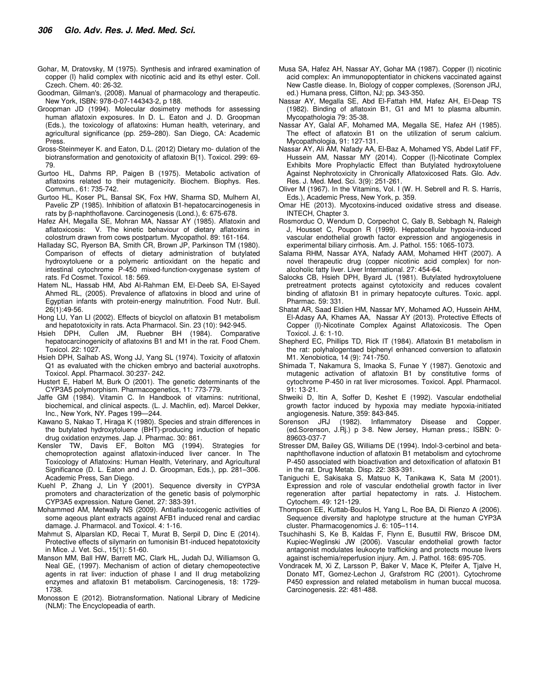- Gohar, M, Dratovsky, M (1975). Synthesis and infrared examination of copper (I) halid complex with nicotinic acid and its ethyl ester. Coll. Czech. Chem. 40: 26-32.
- Goodman, Gilman's, (2008). Manual of pharmacology and therapeutic. New York, ISBN: 978-0-07-144343-2, p 188.
- Groopman JD (1994). Molecular dosimetry methods for assessing human aflatoxin exposures. In D. L. Eaton and J. D. Groopman (Eds.), the toxicology of aflatoxins: Human health, veterinary, and agricultural significance (pp. 259–280). San Diego, CA: Academic Press.
- Gross-Steinmeyer K. and Eaton, D.L. (2012) Dietary mo- dulation of the biotransformation and genotoxicity of aflatoxin B(1). Toxicol. 299: 69- 79.
- Gurtoo HL, Dahms RP, Paigen B (1975). Metabolic activation of aflatoxins related to their mutagenicity. Biochem. Biophys. Res. Commun., 61: 735-742.
- Gurtoo HL, Koser PL, Bansal SK, Fox HW, Sharma SD, Mulhern AI, Pavelic ZP (1985). Inhibition of aflatoxin B1-hepatocarcinogenesis in rats by β-naphthoflavone. Carcinogenesis (Lond.), 6: 675-678.
- Hafez AH, Megalla SE, Mohran MA, Nassar AY (1985). Aflatoxin and aflatoxicosis: V. The kinetic behaviour of dietary aflatoxins in colostrum drawn from cows postpartum. Mycopathol. 89: 161-164.
- Halladay SC, Ryerson BA, Smith CR, Brown JP, Parkinson TM (1980). Comparison of effects of dietary administration of butylated hydroxytoluene or a polymeric antioxidant on the hepatic and intestinal cytochrome P-450 mixed-function-oxygenase system of rats. Fd Cosmet. Toxicol. 18: 569.
- Hatem NL, Hassab HM, Abd Al-Rahman EM, El-Deeb SA, El-Sayed Ahmed RL, (2005). Prevalence of aflatoxins in blood and urine of Egyptian infants with protein-energy malnutrition. Food Nutr. Bull. 26(1):49-56.
- Hong LU, Yan LI (2002). Effects of bicyclol on aflatoxin B1 metabolism and hepatotoxicity in rats. Acta Pharmacol. Sin. 23 (10): 942-945.
- Hsieh DPH, Cullen JM, Ruebner BH (1984). Comparative hepatocarcinogenicity of aflatoxins B1 and M1 in the rat. Food Chem. Toxicol. 22: 1027.
- Hsieh DPH, Salhab AS, Wong JJ, Yang SL (1974). Toxicity of aflatoxin Q1 as evaluated with the chicken embryo and bacterial auxotrophs. Toxicol. Appl. Pharmacol. 30:237- 242.
- Hustert E, Haberl M, Burk O (2001). The genetic determinants of the CYP3A5 polymorphism. Pharmacogenetics, 11: 773-779.
- Jaffe GM (1984). Vitamin C. In Handbook of vitamins: nutritional, biochemical, and clinical aspects. (L. J. Machlin, ed). Marcel Dekker, Inc., New York, NY. Pages 199—244.
- Kawano S, Nakao T, Hiraga K (1980). Species and strain differences in the butylated hydroxytoluene (BHT)-producing induction of hepatic drug oxidation enzymes. Jap. J. Pharmac. 30: 861.
- Kensler TW, Davis EF, Bolton MG (1994). Strategies for chemoprotection against aflatoxin-induced liver cancer. In The Toxicology of Aflatoxins: Human Health, Veterinary, and Agricultural Significance (D. L. Eaton and J. D. Groopman, Eds.), pp. 281–306. Academic Press, San Diego.
- Kuehl P, Zhang J, Lin Y (2001). Sequence diversity in CYP3A promoters and characterization of the genetic basis of polymorphic CYP3A5 expression. Nature Genet. 27: 383-391.
- Mohammed AM, Metwally NS (2009). Antiafla-toxicogenic activities of some aqeous plant extracts against AFB1 induced renal and cardiac damage. J. Pharmacol. and Toxicol. 4: 1-16.
- Mahmut S, Alparslan KD, Recai T, Murat B, Serpil D, Dinc E (2014). Protective effects of silymarin on fumonisin B1-induced hepatotoxicity in Mice. J. Vet. Sci., 15(1): 51-60.
- Manson MM, Ball HW, Barrett MC, Clark HL, Judah DJ, Williamson G, Neal GE, (1997). Mechanism of action of dietary chemopeotective agents in rat liver: induction of phase I and II drug metabolizing enzymes and aflatoxin B1 metabolism. Carcinogenesis, 18: 1729- 1738.
- Monosson E (2012). Biotransformation. National Library of Medicine (NLM): The Encyclopeadia of earth.
- Musa SA, Hafez AH, Nassar AY, Gohar MA (1987). Copper (I) nicotinic acid complex: An immunopoptentiator in chickens vaccinated against New Castle diease. In, Biology of copper complexes, (Sorenson JRJ, ed.) Humana press, Clifton, NJ; pp. 343-350.
- Nassar AY, Megalla SE, Abd El-Fattah HM, Hafez AH, El-Deap TS (1982). Binding of aflatoxin B1, G1 and M1 to plasma albumin. Mycopathologia 79: 35-38.
- Nassar AY, Galal AF, Mohamed MA, Megalla SE, Hafez AH (1985). The effect of aflatoxin B1 on the utilization of serum calcium. Mycopathologia, 91: 127-131.
- Nassar AY, Ali AM, Nafady AA, El-Baz A, Mohamed YS, Abdel Latif FF, Hussein AM, Nassar MY (2014). Copper (I)-Nicotinate Complex Exhibits More Prophylactic Effect than Butylated hydroxytoluene Against Nephrotoxicity in Chronically Aflatoxicosed Rats. Glo. Adv. Res. J. Med. Med. Sci. 3(9): 251-261.
- Oliver M (1967). In the Vitamins, Vol. I (W. H. Sebrell and R. S. Harris, Eds.), Academic Press, New York, p. 359.
- Omar HE (2013). Mycotoxins-induced oxidative stress and disease. INTECH, Chapter 3.
- Rosmorduc O, Wendum D, Corpechot C, Galy B, Sebbagh N, Raleigh J, Housset C, Poupon R (1999). Hepatocellular hypoxia-induced vascular endothelial growth factor expression and angiogenesis in experimental biliary cirrhosis. Am. J. Pathol. 155: 1065-1073.
- Salama RHM, Nassar AYA, Nafady AAM, Mohamed HHT (2007). A novel therapeutic drug (copper nicotinic acid complex) for nonalcoholic fatty liver. Liver International. 27: 454-64.
- Salocks CB, Hsieh DPH, Byard JL (1981). Butylated hydroxytoluene pretreatment protects against cytotoxicity and reduces covalent binding of aflatoxin B1 in primary hepatocyte cultures. Toxic. appl. Pharmac. 59: 331.
- Shatat AR, Saad Eldien HM, Nassar MY, Mohamed AO, Hussein AHM, El-Adasy AA, Khames AA, Nassar AY (2013). Protective Effects of Copper (I)-Nicotinate Complex Against Aflatoxicosis. The Open Toxicol. J. 6: 1-10.
- Shepherd EC, Phillips TD, Rick IT (1984). Aflatoxin B1 metabolism in the rat: polyhalogentaed biphenyl enhanced conversion to aflatoxin M1. Xenobiotica, 14 (9): 741-750.
- Shimada T, Nakamura S, Imaoka S, Funae Y (1987). Genotoxic and mutagenic activation of aflatoxin B1 by constitutive forms of cytochrome P-450 in rat liver microsomes. Toxicol. Appl. Pharmacol. 91: 13-21.
- Shweiki D, Itin A, Soffer D, Keshet E (1992). Vascular endothelial growth factor induced by hypoxia may mediate hypoxia-initiated angiogenesis. Nature, 359: 843-845.
- Sorenson JRJ (1982). Inflammatory Disease and Copper. (ed.Sorenson, J.Rj.) p 3-8. New Jersey, Human press.; ISBN: 0- 89603-037-7
- Stresser DM, Bailey GS, Williams DE (1994). Indol-3-cerbinol and betanaphthoflavone induction of aflatoxin B1 metabolism and cytochrome P-450 associated with bioactivation and detoxification of aflatoxin B1 in the rat. Drug Metab. Disp. 22: 383-391.
- Taniguchi E, Sakisaka S, Matsuo K, Tanikawa K, Sata M (2001). Expression and role of vascular endothelial growth factor in liver regeneration after partial hepatectomy in rats. J. Histochem. Cytochem. 49: 121-129.
- Thompson EE, Kuttab-Boulos H, Yang L, Roe BA, Di Rienzo A (2006). Sequence diversity and haplotype structure at the human CYP3A cluster. Pharmacogenomics J. 6: 105–114.
- Tsuchihashi S, Ke B, Kaldas F, Flynn E, Busuttil RW, Briscoe DM, Kupiec-Weglinski JW (2006). Vascular endothelial growth factor antagonist modulates leukocyte trafficking and protects mouse livers against ischemia/reperfusion injury. Am. J. Pathol. 168: 695-705.
- Vondracek M, Xi Z, Larsson P, Baker V, Mace K, Pfeifer A, Tjalve H, Donato MT, Gomez-Lechon J, Grafstrom RC (2001). Cytochrome P450 expression and related metabolism in human buccal mucosa. Carcinogenesis. 22: 481-488.